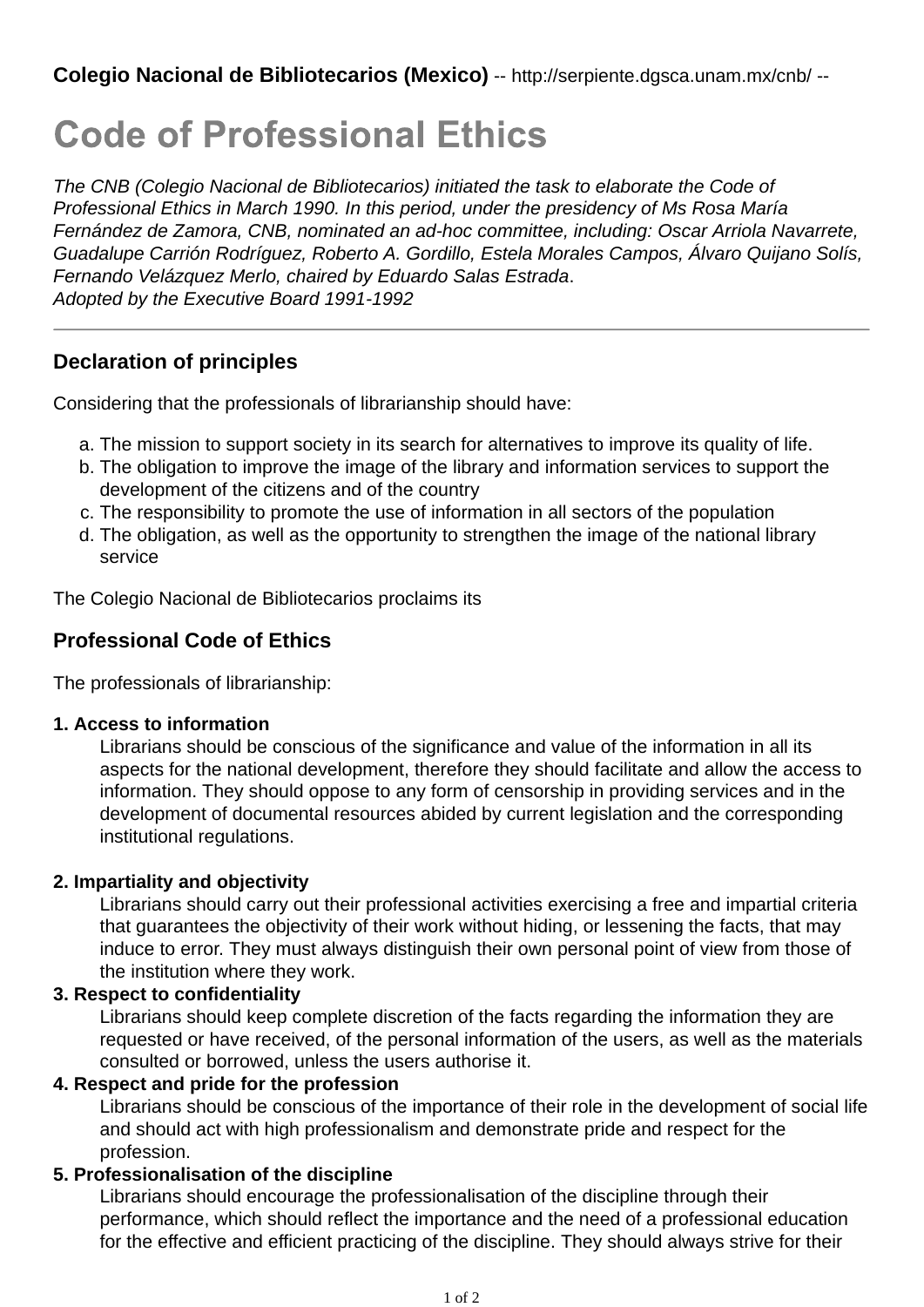# **Code of Professional Ethics**

*The CNB (Colegio Nacional de Bibliotecarios) initiated the task to elaborate the Code of Professional Ethics in March 1990. In this period, under the presidency of Ms Rosa María Fernández de Zamora, CNB, nominated an ad-hoc committee, including: Oscar Arriola Navarrete, Guadalupe Carrión Rodríguez, Roberto A. Gordillo, Estela Morales Campos, Álvaro Quijano Solís, Fernando Velázquez Merlo, chaired by Eduardo Salas Estrada*. *Adopted by the Executive Board 1991-1992*

# **Declaration of principles**

Considering that the professionals of librarianship should have:

- a. The mission to support society in its search for alternatives to improve its quality of life.
- The obligation to improve the image of the library and information services to support the b. development of the citizens and of the country
- c. The responsibility to promote the use of information in all sectors of the population
- The obligation, as well as the opportunity to strengthen the image of the national library d. service

The Colegio Nacional de Bibliotecarios proclaims its

# **Professional Code of Ethics**

The professionals of librarianship:

#### **1. Access to information**

Librarians should be conscious of the significance and value of the information in all its aspects for the national development, therefore they should facilitate and allow the access to information. They should oppose to any form of censorship in providing services and in the development of documental resources abided by current legislation and the corresponding institutional regulations.

## **2. Impartiality and objectivity**

Librarians should carry out their professional activities exercising a free and impartial criteria that guarantees the objectivity of their work without hiding, or lessening the facts, that may induce to error. They must always distinguish their own personal point of view from those of the institution where they work.

## **3. Respect to confidentiality**

Librarians should keep complete discretion of the facts regarding the information they are requested or have received, of the personal information of the users, as well as the materials consulted or borrowed, unless the users authorise it.

## **4. Respect and pride for the profession**

Librarians should be conscious of the importance of their role in the development of social life and should act with high professionalism and demonstrate pride and respect for the profession.

## **5. Professionalisation of the discipline**

Librarians should encourage the professionalisation of the discipline through their performance, which should reflect the importance and the need of a professional education for the effective and efficient practicing of the discipline. They should always strive for their